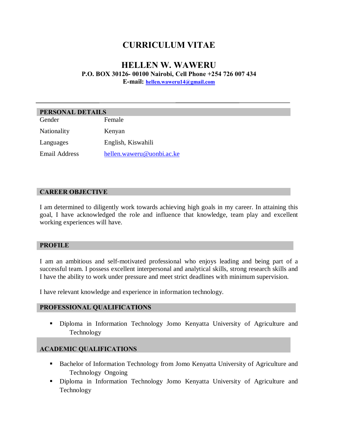# **CURRICULUM VITAE**

# **HELLEN W. WAWERU P.O. BOX 30126- 00100 Nairobi, Cell Phone +254 726 007 434 E-mail: hellen.waweru14@gmail.com**

| PERSONAL DETAILS |                           |
|------------------|---------------------------|
| Gender           | Female                    |
| Nationality      | Kenyan                    |
| Languages        | English, Kiswahili        |
| Email Address    | hellen.waweru@uonbi.ac.ke |

### **CAREER OBJECTIVE**

I am determined to diligently work towards achieving high goals in my career. In attaining this goal, I have acknowledged the role and influence that knowledge, team play and excellent working experiences will have.

#### **PROFILE**

I am an ambitious and self-motivated professional who enjoys leading and being part of a successful team. I possess excellent interpersonal and analytical skills, strong research skills and I have the ability to work under pressure and meet strict deadlines with minimum supervision.

I have relevant knowledge and experience in information technology.

#### **PROFESSIONAL QUALIFICATIONS**

**•** Diploma in Information Technology Jomo Kenyatta University of Agriculture and Technology

### **ACADEMIC QUALIFICATIONS**

- **Bachelor of Information Technology from Jomo Kenyatta University of Agriculture and** Technology Ongoing
- **•** Diploma in Information Technology Jomo Kenyatta University of Agriculture and Technology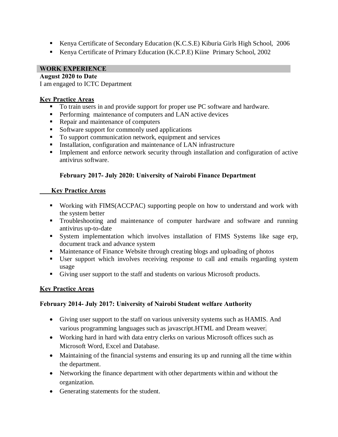- ß Kenya Certificate of Secondary Education (K.C.S.E) Kiburia Girls High School, 2006
- Kenya Certificate of Primary Education (K.C.P.E) Kiine Primary School, 2002

## **WORK EXPERIENCE**

## **August 2020 to Date**

I am engaged to ICTC Department

## **Key Practice Areas**

- To train users in and provide support for proper use PC software and hardware.
- **•** Performing maintenance of computers and LAN active devices
- Repair and maintenance of computers
- $\blacksquare$  Software support for commonly used applications
- To support communication network, equipment and services
- **Installation, configuration and maintenance of LAN infrastructure**
- Implement and enforce network security through installation and configuration of active antivirus software.

# **February 2017- July 2020: University of Nairobi Finance Department**

# **Key Practice Areas**

- ß Working with FIMS(ACCPAC) supporting people on how to understand and work with the system better
- **Troubleshooting and maintenance of computer hardware and software and running** antivirus up-to-date
- **System implementation which involves installation of FIMS Systems like sage erp,** document track and advance system
- **Maintenance of Finance Website through creating blogs and uploading of photos**
- ß User support which involves receiving response to call and emails regarding system usage
- Giving user support to the staff and students on various Microsoft products.

# **Key Practice Areas**

### **February 2014- July 2017: University of Nairobi Student welfare Authority**

- · Giving user support to the staff on various university systems such as HAMIS. And various programming languages such as javascript.HTML and Dream weaver.
- · Working hard in hard with data entry clerks on various Microsoft offices such as Microsoft Word, Excel and Database.
- Maintaining of the financial systems and ensuring its up and running all the time within the department.
- Networking the finance department with other departments within and without the organization.
- · Generating statements for the student.